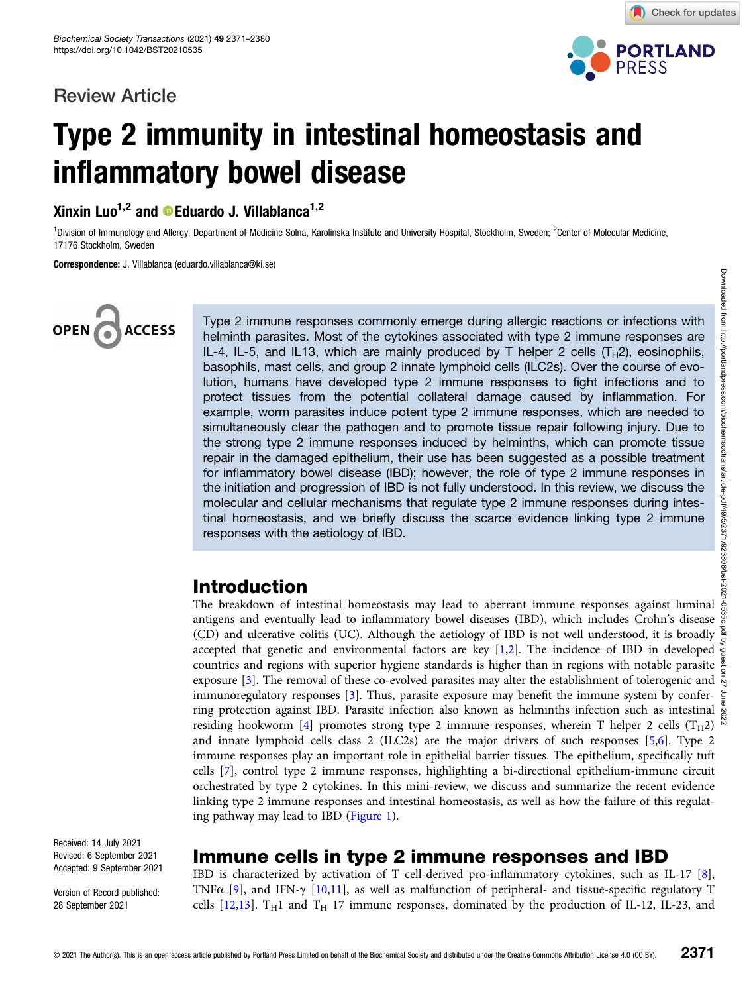## Review Article



Check for updates

## Type 2 immunity in intestinal homeostasis and inflammatory bowel disease

Xinxin Luo<sup>1,2</sup> and **C**Eduardo J. Villablanca<sup>1,2</sup>

<sup>1</sup>Division of Immunology and Allergy, Department of Medicine Solna, Karolinska Institute and University Hospital, Stockholm, Sweden; <sup>2</sup>Center of Molecular Medicine, 17176 Stockholm, Sweden

Correspondence: J. Villablanca (eduardo.villablanca@ki.se)

# **ACCESS**

Type 2 immune responses commonly emerge during allergic reactions or infections with helminth parasites. Most of the cytokines associated with type 2 immune responses are IL-4, IL-5, and IL13, which are mainly produced by T helper 2 cells  $(T_H2)$ , eosinophils, basophils, mast cells, and group 2 innate lymphoid cells (ILC2s). Over the course of evolution, humans have developed type 2 immune responses to fight infections and to protect tissues from the potential collateral damage caused by inflammation. For example, worm parasites induce potent type 2 immune responses, which are needed to simultaneously clear the pathogen and to promote tissue repair following injury. Due to the strong type 2 immune responses induced by helminths, which can promote tissue repair in the damaged epithelium, their use has been suggested as a possible treatment for inflammatory bowel disease (IBD); however, the role of type 2 immune responses in the initiation and progression of IBD is not fully understood. In this review, we discuss the molecular and cellular mechanisms that regulate type 2 immune responses during intestinal homeostasis, and we briefly discuss the scarce evidence linking type 2 immune responses with the aetiology of IBD.

## Introduction

The breakdown of intestinal homeostasis may lead to aberrant immune responses against luminal antigens and eventually lead to inflammatory bowel diseases (IBD), which includes Crohn's disease  $\frac{8}{9}$ (CD) and ulcerative colitis (UC). Although the aetiology of IBD is not well understood, it is broadly accepted that genetic and environmental factors are key [\[1,2\]](#page-6-0). The incidence of IBD in developed  $\frac{5}{6}$ countries and regions with superior hygiene standards is higher than in regions with notable parasite exposure [[3\]](#page-6-0). The removal of these co-evolved parasites may alter the establishment of tolerogenic and immunoregulatory responses [[3\]](#page-6-0). Thus, parasite exposure may benefit the immune system by confer- $\frac{2}{5}$ ring protection against IBD. Parasite infection also known as helminths infection such as intestinal residing hookworm [[4](#page-6-0)] promotes strong type 2 immune responses, wherein T helper 2 cells (T<sub>H</sub>2) and innate lymphoid cells class 2 (ILC2s) are the major drivers of such responses [[5,6\]](#page-6-0). Type 2 immune responses play an important role in epithelial barrier tissues. The epithelium, specifically tuft cells [[7\]](#page-6-0), control type 2 immune responses, highlighting a bi-directional epithelium-immune circuit orchestrated by type 2 cytokines. In this mini-review, we discuss and summarize the recent evidence linking type 2 immune responses and intestinal homeostasis, as well as how the failure of this regulating pathway may lead to IBD ([Figure 1\)](#page-1-0).

Received: 14 July 2021 Revised: 6 September 2021 Accepted: 9 September 2021

Version of Record published: 28 September 2021

## Immune cells in type 2 immune responses and IBD

IBD is characterized by activation of T cell-derived pro-inflammatory cytokines, such as IL-17 [\[8](#page-6-0)], TNFα [\[9\]](#page-6-0), and IFN-γ [\[10,11\]](#page-6-0), as well as malfunction of peripheral- and tissue-specific regulatory T cells  $[12,13]$ . T<sub>H</sub>1 and T<sub>H</sub> 17 immune responses, dominated by the production of IL-12, IL-23, and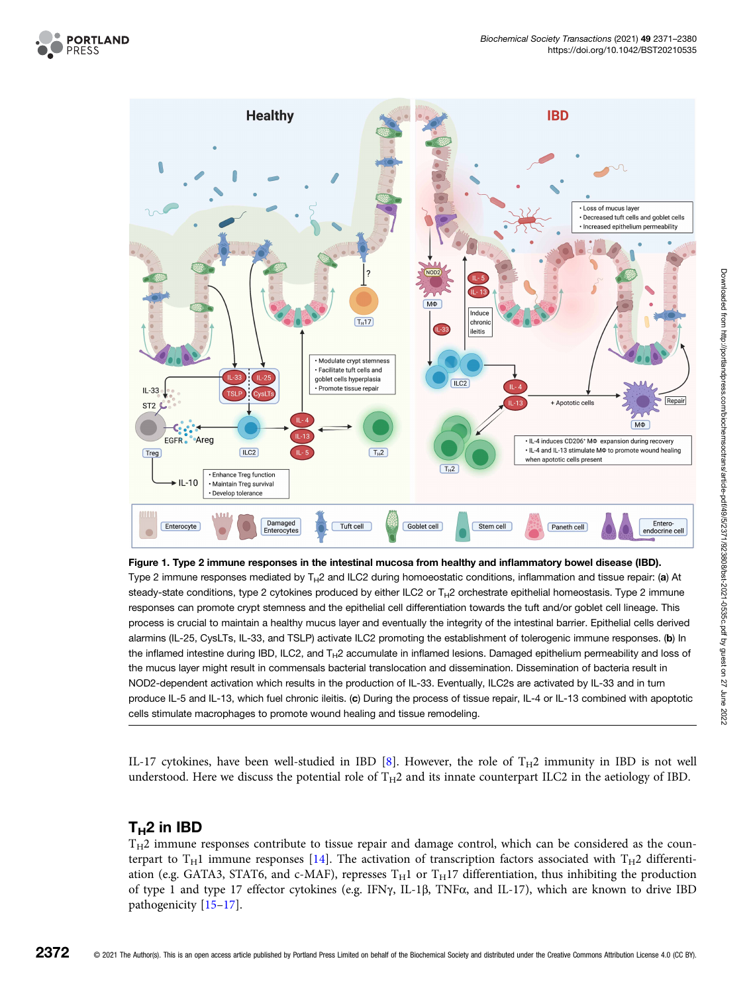<span id="page-1-0"></span>



#### Figure 1. Type 2 immune responses in the intestinal mucosa from healthy and inflammatory bowel disease (IBD).

Type 2 immune responses mediated by  $T_H2$  and ILC2 during homoeostatic conditions, inflammation and tissue repair: (a) At steady-state conditions, type 2 cytokines produced by either ILC2 or  $T_H$ 2 orchestrate epithelial homeostasis. Type 2 immune responses can promote crypt stemness and the epithelial cell differentiation towards the tuft and/or goblet cell lineage. This process is crucial to maintain a healthy mucus layer and eventually the integrity of the intestinal barrier. Epithelial cells derived alarmins (IL-25, CysLTs, IL-33, and TSLP) activate ILC2 promoting the establishment of tolerogenic immune responses. (b) In the inflamed intestine during IBD, ILC2, and  $T_H2$  accumulate in inflamed lesions. Damaged epithelium permeability and loss of the mucus layer might result in commensals bacterial translocation and dissemination. Dissemination of bacteria result in NOD2-dependent activation which results in the production of IL-33. Eventually, ILC2s are activated by IL-33 and in turn produce IL-5 and IL-13, which fuel chronic ileitis. (c) During the process of tissue repair, IL-4 or IL-13 combined with apoptotic cells stimulate macrophages to promote wound healing and tissue remodeling.

IL-17 cytokines, have been well-studied in IBD [\[8](#page-6-0)]. However, the role of  $T_H2$  immunity in IBD is not well understood. Here we discuss the potential role of  $T_H2$  and its innate counterpart ILC2 in the aetiology of IBD.

#### $T_H2$  in IBD

 $T_H2$  immune responses contribute to tissue repair and damage control, which can be considered as the counterpart to  $T_H1$  immune responses [\[14\]](#page-6-0). The activation of transcription factors associated with  $T_H2$  differentiation (e.g. GATA3, STAT6, and c-MAF), represses  $T_H1$  or  $T_H17$  differentiation, thus inhibiting the production of type 1 and type 17 effector cytokines (e.g. IFNγ, IL-1β, TNFα, and IL-17), which are known to drive IBD pathogenicity [\[15](#page-6-0)–[17\]](#page-6-0).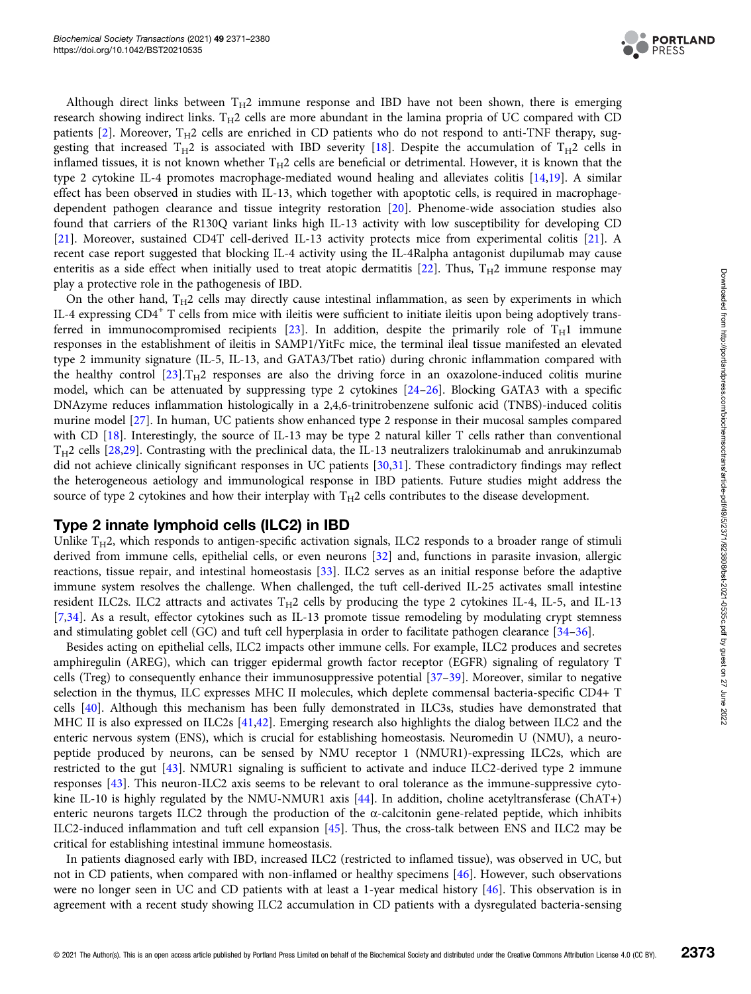

Although direct links between  $T_H2$  immune response and IBD have not been shown, there is emerging research showing indirect links.  $T_H2$  cells are more abundant in the lamina propria of UC compared with CD patients [[2\]](#page-6-0). Moreover,  $T_H2$  cells are enriched in CD patients who do not respond to anti-TNF therapy, suggesting that increased  $T_H2$  is associated with IBD severity [[18](#page-6-0)]. Despite the accumulation of  $T_H2$  cells in inflamed tissues, it is not known whether  $T_H2$  cells are beneficial or detrimental. However, it is known that the type 2 cytokine IL-4 promotes macrophage-mediated wound healing and alleviates colitis [\[14,19\]](#page-6-0). A similar effect has been observed in studies with IL-13, which together with apoptotic cells, is required in macrophagedependent pathogen clearance and tissue integrity restoration [\[20\]](#page-6-0). Phenome-wide association studies also found that carriers of the R130Q variant links high IL-13 activity with low susceptibility for developing CD [[21\]](#page-6-0). Moreover, sustained CD4T cell-derived IL-13 activity protects mice from experimental colitis [\[21\]](#page-6-0). A recent case report suggested that blocking IL-4 activity using the IL-4Ralpha antagonist dupilumab may cause enteritis as a side effect when initially used to treat atopic dermatitis [\[22\]](#page-7-0). Thus,  $T_H2$  immune response may play a protective role in the pathogenesis of IBD.

On the other hand,  $T_H2$  cells may directly cause intestinal inflammation, as seen by experiments in which IL-4 expressing  $CD4^+$  T cells from mice with ileitis were sufficient to initiate ileitis upon being adoptively trans-ferred in immunocompromised recipients [[23\]](#page-7-0). In addition, despite the primarily role of  $T_H1$  immune responses in the establishment of ileitis in SAMP1/YitFc mice, the terminal ileal tissue manifested an elevated type 2 immunity signature (IL-5, IL-13, and GATA3/Tbet ratio) during chronic inflammation compared with the healthy control  $[23]$  $[23]$  $[23]$ .T<sub>H</sub>2 responses are also the driving force in an oxazolone-induced colitis murine model, which can be attenuated by suppressing type 2 cytokines [\[24](#page-7-0)–[26\]](#page-7-0). Blocking GATA3 with a specific DNAzyme reduces inflammation histologically in a 2,4,6-trinitrobenzene sulfonic acid (TNBS)-induced colitis murine model [\[27\]](#page-7-0). In human, UC patients show enhanced type 2 response in their mucosal samples compared with CD [\[18\]](#page-6-0). Interestingly, the source of IL-13 may be type 2 natural killer T cells rather than conventional  $T_H2$  cells [[28,29](#page-7-0)]. Contrasting with the preclinical data, the IL-13 neutralizers tralokinumab and anrukinzumab did not achieve clinically significant responses in UC patients [\[30,31](#page-7-0)]. These contradictory findings may reflect the heterogeneous aetiology and immunological response in IBD patients. Future studies might address the source of type 2 cytokines and how their interplay with  $T_H2$  cells contributes to the disease development.

#### Type 2 innate lymphoid cells (ILC2) in IBD

Unlike  $T_H2$ , which responds to antigen-specific activation signals, ILC2 responds to a broader range of stimuli derived from immune cells, epithelial cells, or even neurons [\[32\]](#page-7-0) and, functions in parasite invasion, allergic reactions, tissue repair, and intestinal homeostasis [\[33\]](#page-7-0). ILC2 serves as an initial response before the adaptive immune system resolves the challenge. When challenged, the tuft cell-derived IL-25 activates small intestine resident ILC2s. ILC2 attracts and activates  $T_H2$  cells by producing the type 2 cytokines IL-4, IL-5, and IL-13 [[7,](#page-6-0)[34\]](#page-7-0). As a result, effector cytokines such as IL-13 promote tissue remodeling by modulating crypt stemness and stimulating goblet cell (GC) and tuft cell hyperplasia in order to facilitate pathogen clearance [[34](#page-7-0)–[36](#page-7-0)].

Besides acting on epithelial cells, ILC2 impacts other immune cells. For example, ILC2 produces and secretes amphiregulin (AREG), which can trigger epidermal growth factor receptor (EGFR) signaling of regulatory T cells (Treg) to consequently enhance their immunosuppressive potential [\[37](#page-7-0)–[39\]](#page-7-0). Moreover, similar to negative selection in the thymus, ILC expresses MHC II molecules, which deplete commensal bacteria-specific CD4+ T cells [\[40](#page-7-0)]. Although this mechanism has been fully demonstrated in ILC3s, studies have demonstrated that MHC II is also expressed on ILC2s [[41,42\]](#page-7-0). Emerging research also highlights the dialog between ILC2 and the enteric nervous system (ENS), which is crucial for establishing homeostasis. Neuromedin U (NMU), a neuropeptide produced by neurons, can be sensed by NMU receptor 1 (NMUR1)-expressing ILC2s, which are restricted to the gut [[43](#page-7-0)]. NMUR1 signaling is sufficient to activate and induce ILC2-derived type 2 immune responses [[43](#page-7-0)]. This neuron-ILC2 axis seems to be relevant to oral tolerance as the immune-suppressive cytokine IL-10 is highly regulated by the NMU-NMUR1 axis [\[44\]](#page-7-0). In addition, choline acetyltransferase (ChAT+) enteric neurons targets ILC2 through the production of the  $\alpha$ -calcitonin gene-related peptide, which inhibits ILC2-induced inflammation and tuft cell expansion [[45](#page-7-0)]. Thus, the cross-talk between ENS and ILC2 may be critical for establishing intestinal immune homeostasis.

In patients diagnosed early with IBD, increased ILC2 (restricted to inflamed tissue), was observed in UC, but not in CD patients, when compared with non-inflamed or healthy specimens [[46](#page-7-0)]. However, such observations were no longer seen in UC and CD patients with at least a 1-year medical history [[46](#page-7-0)]. This observation is in agreement with a recent study showing ILC2 accumulation in CD patients with a dysregulated bacteria-sensing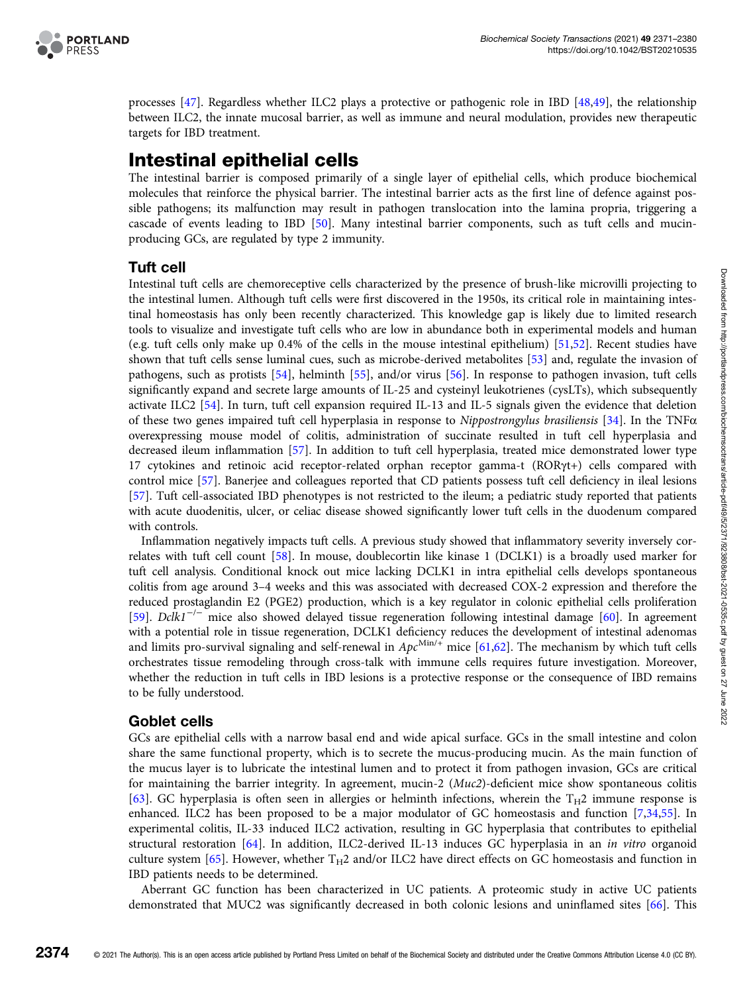

processes [\[47\]](#page-7-0). Regardless whether ILC2 plays a protective or pathogenic role in IBD [[48](#page-7-0),[49](#page-7-0)], the relationship between ILC2, the innate mucosal barrier, as well as immune and neural modulation, provides new therapeutic targets for IBD treatment.

## Intestinal epithelial cells

The intestinal barrier is composed primarily of a single layer of epithelial cells, which produce biochemical molecules that reinforce the physical barrier. The intestinal barrier acts as the first line of defence against possible pathogens; its malfunction may result in pathogen translocation into the lamina propria, triggering a cascade of events leading to IBD [\[50\]](#page-7-0). Many intestinal barrier components, such as tuft cells and mucinproducing GCs, are regulated by type 2 immunity.

#### Tuft cell

Intestinal tuft cells are chemoreceptive cells characterized by the presence of brush-like microvilli projecting to the intestinal lumen. Although tuft cells were first discovered in the 1950s, its critical role in maintaining intestinal homeostasis has only been recently characterized. This knowledge gap is likely due to limited research tools to visualize and investigate tuft cells who are low in abundance both in experimental models and human (e.g. tuft cells only make up 0.4% of the cells in the mouse intestinal epithelium) [[51](#page-7-0),[52](#page-7-0)]. Recent studies have shown that tuft cells sense luminal cues, such as microbe-derived metabolites [\[53\]](#page-8-0) and, regulate the invasion of pathogens, such as protists [\[54](#page-8-0)], helminth [[55](#page-8-0)], and/or virus [[56](#page-8-0)]. In response to pathogen invasion, tuft cells significantly expand and secrete large amounts of IL-25 and cysteinyl leukotrienes (cysLTs), which subsequently activate ILC2 [\[54\]](#page-8-0). In turn, tuft cell expansion required IL-13 and IL-5 signals given the evidence that deletion of these two genes impaired tuft cell hyperplasia in response to Nippostrongylus brasiliensis [\[34\]](#page-7-0). In the TNF $\alpha$ overexpressing mouse model of colitis, administration of succinate resulted in tuft cell hyperplasia and decreased ileum inflammation [[57\]](#page-8-0). In addition to tuft cell hyperplasia, treated mice demonstrated lower type 17 cytokines and retinoic acid receptor-related orphan receptor gamma-t (RORγt+) cells compared with control mice [[57](#page-8-0)]. Banerjee and colleagues reported that CD patients possess tuft cell deficiency in ileal lesions [[57](#page-8-0)]. Tuft cell-associated IBD phenotypes is not restricted to the ileum; a pediatric study reported that patients with acute duodenitis, ulcer, or celiac disease showed significantly lower tuft cells in the duodenum compared with controls.

Inflammation negatively impacts tuft cells. A previous study showed that inflammatory severity inversely correlates with tuft cell count [[58](#page-8-0)]. In mouse, doublecortin like kinase 1 (DCLK1) is a broadly used marker for tuft cell analysis. Conditional knock out mice lacking DCLK1 in intra epithelial cells develops spontaneous colitis from age around 3–4 weeks and this was associated with decreased COX-2 expression and therefore the reduced prostaglandin E2 (PGE2) production, which is a key regulator in colonic epithelial cells proliferation [[59](#page-8-0)]. Dclk1<sup>-/-</sup> mice also showed delayed tissue regeneration following intestinal damage [[60](#page-8-0)]. In agreement with a potential role in tissue regeneration, DCLK1 deficiency reduces the development of intestinal adenomas and limits pro-survival signaling and self-renewal in  $Apc^{Min/+}$  mice [\[61,62](#page-8-0)]. The mechanism by which tuft cells orchestrates tissue remodeling through cross-talk with immune cells requires future investigation. Moreover, whether the reduction in tuft cells in IBD lesions is a protective response or the consequence of IBD remains to be fully understood.

#### Goblet cells

GCs are epithelial cells with a narrow basal end and wide apical surface. GCs in the small intestine and colon share the same functional property, which is to secrete the mucus-producing mucin. As the main function of the mucus layer is to lubricate the intestinal lumen and to protect it from pathogen invasion, GCs are critical for maintaining the barrier integrity. In agreement, mucin-2 (Muc2)-deficient mice show spontaneous colitis [[63](#page-8-0)]. GC hyperplasia is often seen in allergies or helminth infections, wherein the  $T_H2$  immune response is enhanced. ILC2 has been proposed to be a major modulator of GC homeostasis and function [[7](#page-6-0),[34](#page-7-0)[,55\]](#page-8-0). In experimental colitis, IL-33 induced ILC2 activation, resulting in GC hyperplasia that contributes to epithelial structural restoration [\[64\]](#page-8-0). In addition, ILC2-derived IL-13 induces GC hyperplasia in an in vitro organoid culture system [[65\]](#page-8-0). However, whether  $T_H2$  and/or ILC2 have direct effects on GC homeostasis and function in IBD patients needs to be determined.

Aberrant GC function has been characterized in UC patients. A proteomic study in active UC patients demonstrated that MUC2 was significantly decreased in both colonic lesions and uninflamed sites [[66](#page-8-0)]. This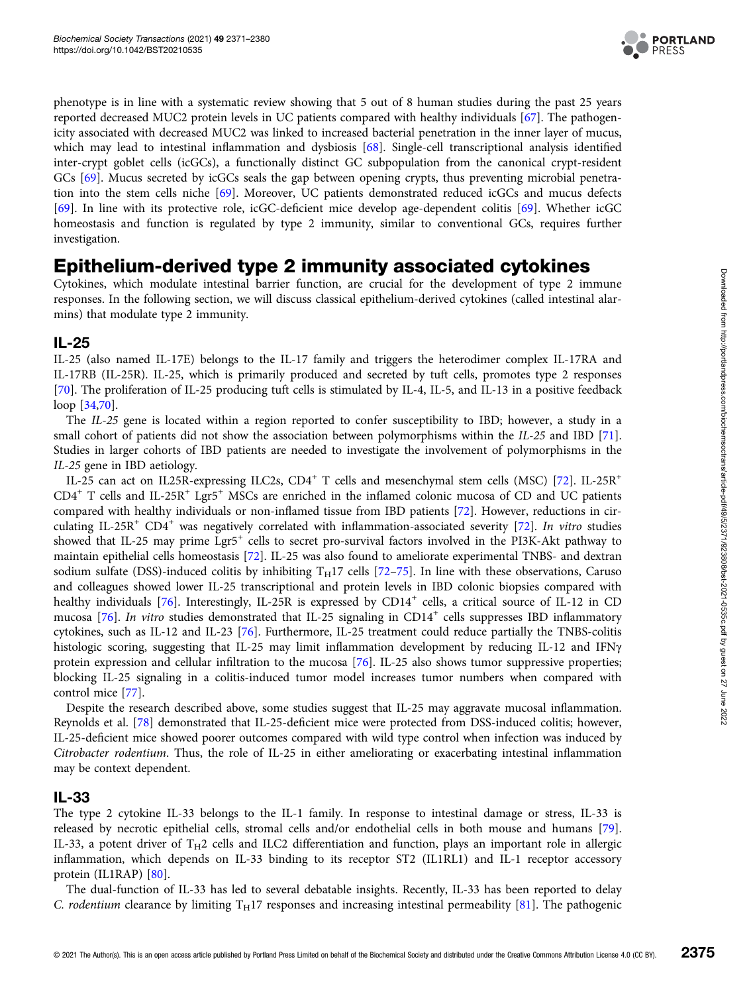

phenotype is in line with a systematic review showing that 5 out of 8 human studies during the past 25 years reported decreased MUC2 protein levels in UC patients compared with healthy individuals [[67\]](#page-8-0). The pathogenicity associated with decreased MUC2 was linked to increased bacterial penetration in the inner layer of mucus, which may lead to intestinal inflammation and dysbiosis [[68](#page-8-0)]. Single-cell transcriptional analysis identified inter-crypt goblet cells (icGCs), a functionally distinct GC subpopulation from the canonical crypt-resident GCs [[69\]](#page-8-0). Mucus secreted by icGCs seals the gap between opening crypts, thus preventing microbial penetration into the stem cells niche [\[69\]](#page-8-0). Moreover, UC patients demonstrated reduced icGCs and mucus defects [[69\]](#page-8-0). In line with its protective role, icGC-deficient mice develop age-dependent colitis [[69](#page-8-0)]. Whether icGC homeostasis and function is regulated by type 2 immunity, similar to conventional GCs, requires further investigation.

## Epithelium-derived type 2 immunity associated cytokines

Cytokines, which modulate intestinal barrier function, are crucial for the development of type 2 immune responses. In the following section, we will discuss classical epithelium-derived cytokines (called intestinal alarmins) that modulate type 2 immunity.

#### IL-25

IL-25 (also named IL-17E) belongs to the IL-17 family and triggers the heterodimer complex IL-17RA and IL-17RB (IL-25R). IL-25, which is primarily produced and secreted by tuft cells, promotes type 2 responses [[70\]](#page-8-0). The proliferation of IL-25 producing tuft cells is stimulated by IL-4, IL-5, and IL-13 in a positive feedback loop [[34](#page-7-0)[,70](#page-8-0)].

The IL-25 gene is located within a region reported to confer susceptibility to IBD; however, a study in a small cohort of patients did not show the association between polymorphisms within the IL-25 and IBD [\[71\]](#page-8-0). Studies in larger cohorts of IBD patients are needed to investigate the involvement of polymorphisms in the IL-25 gene in IBD aetiology.

IL-25 can act on IL25R-expressing ILC2s, CD4<sup>+</sup> T cells and mesenchymal stem cells (MSC) [[72](#page-8-0)]. IL-25R<sup>+</sup>  $CD4^+$  T cells and IL-25R<sup>+</sup> Lgr5<sup>+</sup> MSCs are enriched in the inflamed colonic mucosa of CD and UC patients compared with healthy individuals or non-inflamed tissue from IBD patients [\[72\]](#page-8-0). However, reductions in cir-culating IL-25R<sup>+</sup> CD4<sup>+</sup> was negatively correlated with inflammation-associated severity [[72](#page-8-0)]. In vitro studies showed that IL-25 may prime Lgr5<sup>+</sup> cells to secret pro-survival factors involved in the PI3K-Akt pathway to maintain epithelial cells homeostasis [\[72](#page-8-0)]. IL-25 was also found to ameliorate experimental TNBS- and dextran sodium sulfate (DSS)-induced colitis by inhibiting  $T_H17$  cells [[72](#page-8-0)–[75](#page-8-0)]. In line with these observations, Caruso and colleagues showed lower IL-25 transcriptional and protein levels in IBD colonic biopsies compared with healthy individuals [[76\]](#page-8-0). Interestingly, IL-25R is expressed by CD14<sup>+</sup> cells, a critical source of IL-12 in CD mucosa [\[76\]](#page-8-0). In vitro studies demonstrated that IL-25 signaling in  $CD14^+$  cells suppresses IBD inflammatory cytokines, such as IL-12 and IL-23 [[76](#page-8-0)]. Furthermore, IL-25 treatment could reduce partially the TNBS-colitis histologic scoring, suggesting that IL-25 may limit inflammation development by reducing IL-12 and IFNγ protein expression and cellular infiltration to the mucosa [[76](#page-8-0)]. IL-25 also shows tumor suppressive properties; blocking IL-25 signaling in a colitis-induced tumor model increases tumor numbers when compared with control mice [[77](#page-8-0)].

Despite the research described above, some studies suggest that IL-25 may aggravate mucosal inflammation. Reynolds et al. [[78](#page-8-0)] demonstrated that IL-25-deficient mice were protected from DSS-induced colitis; however, IL-25-deficient mice showed poorer outcomes compared with wild type control when infection was induced by Citrobacter rodentium. Thus, the role of IL-25 in either ameliorating or exacerbating intestinal inflammation may be context dependent.

#### IL-33

The type 2 cytokine IL-33 belongs to the IL-1 family. In response to intestinal damage or stress, IL-33 is released by necrotic epithelial cells, stromal cells and/or endothelial cells in both mouse and humans [[79\]](#page-8-0). IL-33, a potent driver of  $T_H2$  cells and ILC2 differentiation and function, plays an important role in allergic inflammation, which depends on IL-33 binding to its receptor ST2 (IL1RL1) and IL-1 receptor accessory protein (IL1RAP) [[80](#page-8-0)].

The dual-function of IL-33 has led to several debatable insights. Recently, IL-33 has been reported to delay C. rodentium clearance by limiting  $T_H17$  responses and increasing intestinal permeability [\[81\]](#page-8-0). The pathogenic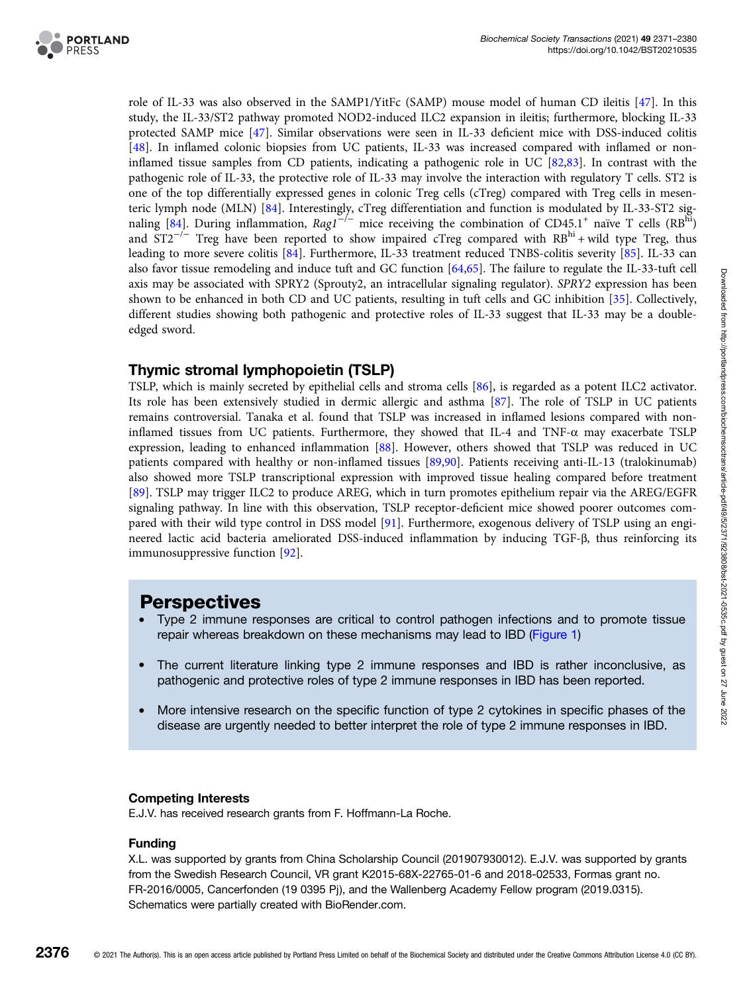

role of IL-33 was also observed in the SAMP1/YitFc (SAMP) mouse model of human CD ileitis [[47](#page-7-0)]. In this study, the IL-33/ST2 pathway promoted NOD2-induced ILC2 expansion in ileitis; furthermore, blocking IL-33 protected SAMP mice [[47](#page-7-0)]. Similar observations were seen in IL-33 deficient mice with DSS-induced colitis [[48](#page-7-0)]. In inflamed colonic biopsies from UC patients, IL-33 was increased compared with inflamed or noninflamed tissue samples from CD patients, indicating a pathogenic role in UC [[82](#page-8-0),[83](#page-9-0)]. In contrast with the pathogenic role of IL-33, the protective role of IL-33 may involve the interaction with regulatory T cells. ST2 is one of the top differentially expressed genes in colonic Treg cells (cTreg) compared with Treg cells in mesenteric lymph node (MLN) [[84](#page-9-0)]. Interestingly, cTreg differentiation and function is modulated by IL-33-ST2 sig-naling [[84](#page-9-0)]. During inflammation,  $Rag1^{-/-}$  mice receiving the combination of CD45.1<sup>+</sup> naïve T cells (RB<sup>hi</sup>) and  $ST2^{-/-}$  Treg have been reported to show impaired cTreg compared with  $RB^{hi}$  + wild type Treg, thus leading to more severe colitis [\[84\]](#page-9-0). Furthermore, IL-33 treatment reduced TNBS-colitis severity [\[85\]](#page-9-0). IL-33 can also favor tissue remodeling and induce tuft and GC function [\[64,65\]](#page-8-0). The failure to regulate the IL-33-tuft cell axis may be associated with SPRY2 (Sprouty2, an intracellular signaling regulator). SPRY2 expression has been shown to be enhanced in both CD and UC patients, resulting in tuft cells and GC inhibition [\[35\]](#page-7-0). Collectively, different studies showing both pathogenic and protective roles of IL-33 suggest that IL-33 may be a doubleedged sword.

#### Thymic stromal lymphopoietin (TSLP)

TSLP, which is mainly secreted by epithelial cells and stroma cells [[86\]](#page-9-0), is regarded as a potent ILC2 activator. Its role has been extensively studied in dermic allergic and asthma [\[87\]](#page-9-0). The role of TSLP in UC patients remains controversial. Tanaka et al. found that TSLP was increased in inflamed lesions compared with noninflamed tissues from UC patients. Furthermore, they showed that IL-4 and TNF-α may exacerbate TSLP expression, leading to enhanced inflammation [[88](#page-9-0)]. However, others showed that TSLP was reduced in UC patients compared with healthy or non-inflamed tissues [[89](#page-9-0),[90](#page-9-0)]. Patients receiving anti-IL-13 (tralokinumab) also showed more TSLP transcriptional expression with improved tissue healing compared before treatment [[89](#page-9-0)]. TSLP may trigger ILC2 to produce AREG, which in turn promotes epithelium repair via the AREG/EGFR signaling pathway. In line with this observation, TSLP receptor-deficient mice showed poorer outcomes compared with their wild type control in DSS model [\[91\]](#page-9-0). Furthermore, exogenous delivery of TSLP using an engineered lactic acid bacteria ameliorated DSS-induced inflammation by inducing TGF-β, thus reinforcing its immunosuppressive function [\[92\]](#page-9-0).

### **Perspectives**

- Type 2 immune responses are critical to control pathogen infections and to promote tissue repair whereas breakdown on these mechanisms may lead to IBD [\(Figure 1](#page-1-0))
- The current literature linking type 2 immune responses and IBD is rather inconclusive, as pathogenic and protective roles of type 2 immune responses in IBD has been reported.
- More intensive research on the specific function of type 2 cytokines in specific phases of the disease are urgently needed to better interpret the role of type 2 immune responses in IBD.

#### Competing Interests

E.J.V. has received research grants from F. Hoffmann-La Roche.

#### Funding

X.L. was supported by grants from China Scholarship Council (201907930012). E.J.V. was supported by grants from the Swedish Research Council, VR grant K2015-68X-22765-01-6 and 2018-02533, Formas grant no. FR-2016/0005, Cancerfonden (19 0395 Pj), and the Wallenberg Academy Fellow program (2019.0315). Schematics were partially created with BioRender.com.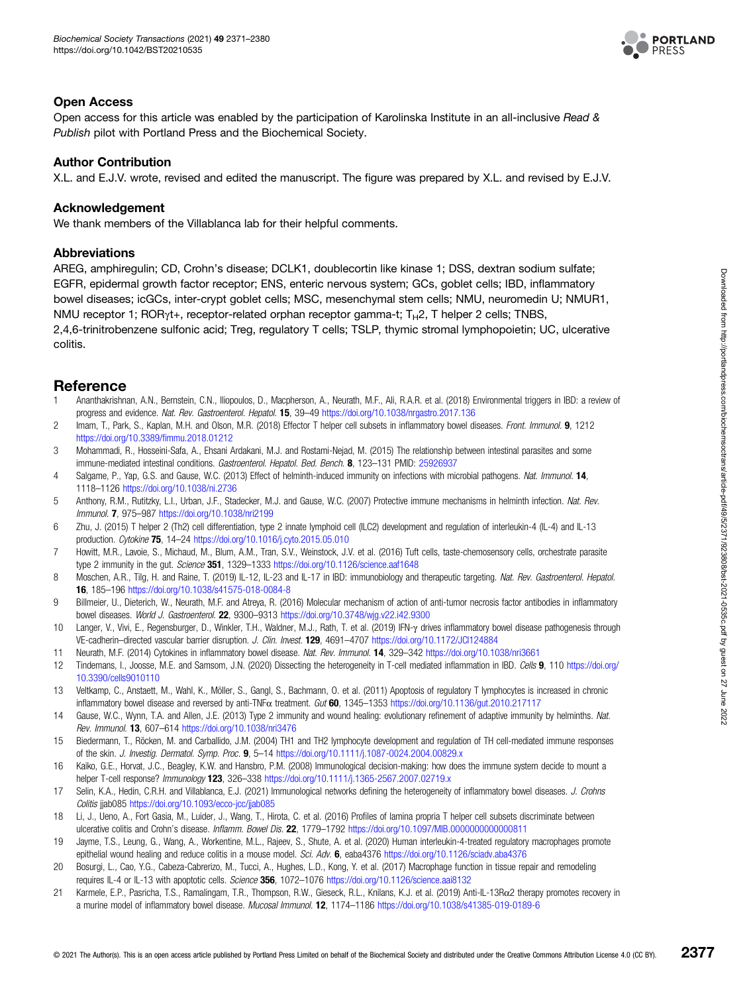

#### <span id="page-6-0"></span>Open Access

Open access for this article was enabled by the participation of Karolinska Institute in an all-inclusive Read & Publish pilot with Portland Press and the Biochemical Society.

#### Author Contribution

X.L. and E.J.V. wrote, revised and edited the manuscript. The figure was prepared by X.L. and revised by E.J.V.

#### Acknowledgement

We thank members of the Villablanca lab for their helpful comments.

#### Abbreviations

AREG, amphiregulin; CD, Crohn's disease; DCLK1, doublecortin like kinase 1; DSS, dextran sodium sulfate; EGFR, epidermal growth factor receptor; ENS, enteric nervous system; GCs, goblet cells; IBD, inflammatory bowel diseases; icGCs, inter-crypt goblet cells; MSC, mesenchymal stem cells; NMU, neuromedin U; NMUR1, NMU receptor 1; RORγt+, receptor-related orphan receptor gamma-t; T<sub>H</sub>2, T helper 2 cells; TNBS, 2,4,6-trinitrobenzene sulfonic acid; Treg, regulatory T cells; TSLP, thymic stromal lymphopoietin; UC, ulcerative colitis.

## **Reference**<br>1 Ananthakrishn

- 1 Ananthakrishnan, A.N., Bernstein, C.N., Iliopoulos, D., Macpherson, A., Neurath, M.F., Ali, R.A.R. et al. (2018) Environmental triggers in IBD: a review of progress and evidence. Nat. Rev. Gastroenterol. Hepatol. 15, 39–49 <https://doi.org/10.1038/nrgastro.2017.136>
- 2 Imam, T., Park, S., Kaplan, M.H. and Olson, M.R. (2018) Effector T helper cell subsets in inflammatory bowel diseases. Front. Immunol. 9, 1212 [https://doi.org/10.3389/](https://doi.org/10.3389/fimmu.2018.01212)fimmu.2018.01212
- 3 Mohammadi, R., Hosseini-Safa, A., Ehsani Ardakani, M.J. and Rostami-Nejad, M. (2015) The relationship between intestinal parasites and some immune-mediated intestinal conditions. Gastroenterol. Hepatol. Bed. Bench. 8, 123-131 PMID: [25926937](http://www.ncbi.nlm.nih.gov/pubmed/25926937)
- 4 Salgame, P., Yap, G.S. and Gause, W.C. (2013) Effect of helminth-induced immunity on infections with microbial pathogens. Nat. Immunol. 14, 1118–1126 <https://doi.org/10.1038/ni.2736>
- 5 Anthony, R.M., Rutitzky, L.I., Urban, J.F., Stadecker, M.J. and Gause, W.C. (2007) Protective immune mechanisms in helminth infection. Nat. Rev. Immunol. 7, 975–987 <https://doi.org/10.1038/nri2199>
- 6 Zhu, J. (2015) T helper 2 (Th2) cell differentiation, type 2 innate lymphoid cell (ILC2) development and regulation of interleukin-4 (IL-4) and IL-13 production. Cytokine 75, 14–24 <https://doi.org/10.1016/j.cyto.2015.05.010>
- 7 Howitt, M.R., Lavoie, S., Michaud, M., Blum, A.M., Tran, S.V., Weinstock, J.V. et al. (2016) Tuft cells, taste-chemosensory cells, orchestrate parasite type 2 immunity in the gut. Science 351, 1329-1333 <https://doi.org/10.1126/science.aaf1648>
- 8 Moschen, A.R., Tilg, H. and Raine, T. (2019) IL-12, IL-23 and IL-17 in IBD: immunobiology and therapeutic targeting. Nat. Rev. Gastroenterol. Hepatol. 16, 185–196 <https://doi.org/10.1038/s41575-018-0084-8>
- 9 Billmeier, U., Dieterich, W., Neurath, M.F. and Atreya, R. (2016) Molecular mechanism of action of anti-tumor necrosis factor antibodies in inflammatory bowel diseases. World J. Gastroenterol. 22, 9300–9313 <https://doi.org/10.3748/wjg.v22.i42.9300>
- 10 Langer, V., Vivi, E., Regensburger, D., Winkler, T.H., Waldner, M.J., Rath, T. et al. (2019) IFN-γ drives inflammatory bowel disease pathogenesis through VE-cadherin–directed vascular barrier disruption. J. Clin. Invest. 129, 4691–4707 <https://doi.org/10.1172/JCI124884>
- 11 Neurath, M.F. (2014) Cytokines in inflammatory bowel disease. Nat. Rev. Immunol. 14, 329–342 <https://doi.org/10.1038/nri3661>
- 12 Tindemans, I., Joosse, M.E. and Samsom, J.N. (2020) Dissecting the heterogeneity in T-cell mediated inflammation in IBD. Cells 9, 110 [https://doi.org/](https://doi.org/10.3390/cells9010110) [10.3390/cells9010110](https://doi.org/10.3390/cells9010110)
- 13 Veltkamp, C., Anstaett, M., Wahl, K., Möller, S., Gangl, S., Bachmann, O. et al. (2011) Apoptosis of regulatory T lymphocytes is increased in chronic inflammatory bowel disease and reversed by anti-TNF $\alpha$  treatment. Gut 60, 1345–1353 <https://doi.org/10.1136/gut.2010.217117>
- 14 Gause, W.C., Wynn, T.A. and Allen, J.E. (2013) Type 2 immunity and wound healing: evolutionary refinement of adaptive immunity by helminths. Nat. Rev. Immunol. 13, 607–614 <https://doi.org/10.1038/nri3476>
- 15 Biedermann, T., Röcken, M. and Carballido, J.M. (2004) TH1 and TH2 lymphocyte development and regulation of TH cell-mediated immune responses of the skin. J. Investig. Dermatol. Symp. Proc. 9, 5–14 <https://doi.org/10.1111/j.1087-0024.2004.00829.x>
- 16 Kaiko, G.E., Horvat, J.C., Beagley, K.W. and Hansbro, P.M. (2008) Immunological decision-making: how does the immune system decide to mount a helper T-cell response? Immunology 123, 326-338 <https://doi.org/10.1111/j.1365-2567.2007.02719.x>
- 17 Selin, K.A., Hedin, C.R.H. and Villablanca, E.J. (2021) Immunological networks defining the heterogeneity of inflammatory bowel diseases. J. Crohns Colitis jjab085 <https://doi.org/10.1093/ecco-jcc/jjab085>
- 18 Li, J., Ueno, A., Fort Gasia, M., Luider, J., Wang, T., Hirota, C. et al. (2016) Profiles of lamina propria T helper cell subsets discriminate between ulcerative colitis and Crohn's disease. Inflamm. Bowel Dis. 22, 1779-1792 https://doi.org/10.1097/MIB.000000000000011
- 19 Jayme, T.S., Leung, G., Wang, A., Workentine, M.L., Rajeev, S., Shute, A. et al. (2020) Human interleukin-4-treated regulatory macrophages promote epithelial wound healing and reduce colitis in a mouse model. Sci. Adv. 6, eaba4376 <https://doi.org/10.1126/sciadv.aba4376>
- 20 Bosurgi, L., Cao, Y.G., Cabeza-Cabrerizo, M., Tucci, A., Hughes, L.D., Kong, Y. et al. (2017) Macrophage function in tissue repair and remodeling requires IL-4 or IL-13 with apoptotic cells. Science 356, 1072-1076 <https://doi.org/10.1126/science.aai8132>
- 21 Karmele, E.P., Pasricha, T.S., Ramalingam, T.R., Thompson, R.W., Gieseck, R.L., Knilans, K.J. et al. (2019) Anti-IL-13Ro2 therapy promotes recovery in a murine model of inflammatory bowel disease. Mucosal Immunol. 12, 1174–1186 <https://doi.org/10.1038/s41385-019-0189-6>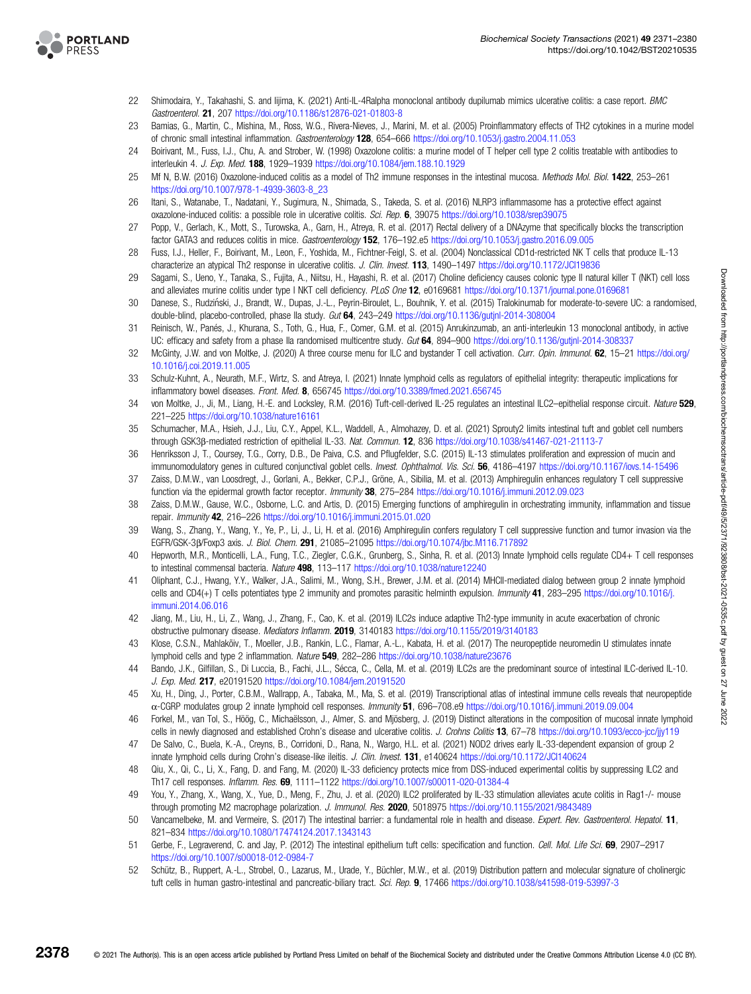<span id="page-7-0"></span>

- 22 Shimodaira, Y., Takahashi, S. and Iijima, K. (2021) Anti-IL-4Ralpha monoclonal antibody dupilumab mimics ulcerative colitis: a case report. BMC Gastroenterol. 21, 207 <https://doi.org/10.1186/s12876-021-01803-8>
- 23 Bamias, G., Martin, C., Mishina, M., Ross, W.G., Rivera-Nieves, J., Marini, M. et al. (2005) Proinflammatory effects of TH2 cytokines in a murine model of chronic small intestinal inflammation. Gastroenterology 128, 654–666 <https://doi.org/10.1053/j.gastro.2004.11.053>
- 24 Boirivant, M., Fuss, I.J., Chu, A. and Strober, W. (1998) Oxazolone colitis: a murine model of T helper cell type 2 colitis treatable with antibodies to interleukin 4. J. Exp. Med. 188, 1929–1939 <https://doi.org/10.1084/jem.188.10.1929>
- 25 Mf N, B.W. (2016) Oxazolone-induced colitis as a model of Th2 immune responses in the intestinal mucosa. Methods Mol. Biol. 1422, 253-261 [https://doi.org/10.1007/978-1-4939-3603-8\\_23](https://doi.org/10.1007/978-1-4939-3603-8_23)
- 26 Itani, S., Watanabe, T., Nadatani, Y., Sugimura, N., Shimada, S., Takeda, S. et al. (2016) NLRP3 inflammasome has a protective effect against oxazolone-induced colitis: a possible role in ulcerative colitis. Sci. Rep. 6, 39075 <https://doi.org/10.1038/srep39075>
- 27 Popp, V., Gerlach, K., Mott, S., Turowska, A., Garn, H., Atreya, R. et al. (2017) Rectal delivery of a DNAzyme that specifically blocks the transcription factor GATA3 and reduces colitis in mice. Gastroenterology 152, 176–192.e5 <https://doi.org/10.1053/j.gastro.2016.09.005>
- 28 Fuss, I.J., Heller, F., Boirivant, M., Leon, F., Yoshida, M., Fichtner-Feigl, S. et al. (2004) Nonclassical CD1d-restricted NK T cells that produce IL-13 characterize an atypical Th2 response in ulcerative colitis. J. Clin. Invest. 113, 1490–1497 <https://doi.org/10.1172/JCI19836>
- 29 Sagami, S., Ueno, Y., Tanaka, S., Fujita, A., Niitsu, H., Hayashi, R. et al. (2017) Choline deficiency causes colonic type II natural killer T (NKT) cell loss and alleviates murine colitis under type I NKT cell deficiency. PLoS One 12, e0169681 <https://doi.org/10.1371/journal.pone.0169681>
- 30 Danese, S., Rudzinski, J., Brandt, W., Dupas, J.-L., Peyrin-Biroulet, L., Bouhnik, Y. et al. (2015) Tralokinumab for moderate-to-severe UC: a randomised, ́ double-blind, placebo-controlled, phase IIa study. Gut 64, 243-249 <https://doi.org/10.1136/gutjnl-2014-308004>
- 31 Reinisch, W., Panés, J., Khurana, S., Toth, G., Hua, F., Comer, G.M. et al. (2015) Anrukinzumab, an anti-interleukin 13 monoclonal antibody, in active UC: efficacy and safety from a phase IIa randomised multicentre study. Gut 64, 894–900 <https://doi.org/10.1136/gutjnl-2014-308337>
- 32 McGinty, J.W. and von Moltke, J. (2020) A three course menu for ILC and bystander T cell activation. Curr. Opin. Immunol. 62, 15–21 [https://doi.org/](https://doi.org/10.1016/j.coi.2019.11.005) [10.1016/j.coi.2019.11.005](https://doi.org/10.1016/j.coi.2019.11.005)
- 33 Schulz-Kuhnt, A., Neurath, M.F., Wirtz, S. and Atreya, I. (2021) Innate lymphoid cells as regulators of epithelial integrity: therapeutic implications for inflammatory bowel diseases. Front. Med. 8, 656745 <https://doi.org/10.3389/fmed.2021.656745>
- von Moltke, J., Ji, M., Liang, H.-E. and Locksley, R.M. (2016) Tuft-cell-derived IL-25 regulates an intestinal ILC2–epithelial response circuit. Nature 529, 221–225 <https://doi.org/10.1038/nature16161>
- 35 Schumacher, M.A., Hsieh, J.J., Liu, C.Y., Appel, K.L., Waddell, A., Almohazey, D. et al. (2021) Sprouty2 limits intestinal tuft and goblet cell numbers through GSK3β-mediated restriction of epithelial IL-33. Nat. Commun. 12, 836 <https://doi.org/10.1038/s41467-021-21113-7>
- 36 Henriksson J, T., Coursey, T.G., Corry, D.B., De Paiva, C.S. and Pflugfelder, S.C. (2015) IL-13 stimulates proliferation and expression of mucin and immunomodulatory genes in cultured conjunctival goblet cells. Invest. Ophthalmol. Vis. Sci. 56, 4186-4197 <https://doi.org/10.1167/iovs.14-15496>
- 37 Zaiss, D.M.W., van Loosdregt, J., Gorlani, A., Bekker, C.P.J., Gröne, A., Sibilia, M. et al. (2013) Amphiregulin enhances regulatory T cell suppressive function via the epidermal growth factor receptor. Immunity 38, 275–284 <https://doi.org/10.1016/j.immuni.2012.09.023>
- 38 Zaiss, D.M.W., Gause, W.C., Osborne, L.C. and Artis, D. (2015) Emerging functions of amphiregulin in orchestrating immunity, inflammation and tissue repair. Immunity 42, 216–226 <https://doi.org/10.1016/j.immuni.2015.01.020>
- 39 Wang, S., Zhang, Y., Wang, Y., Ye, P., Li, J., Li, H. et al. (2016) Amphiregulin confers regulatory T cell suppressive function and tumor invasion via the EGFR/GSK-3β/Foxp3 axis. J. Biol. Chem. 291, 21085–21095 <https://doi.org/10.1074/jbc.M116.717892>
- 40 Hepworth, M.R., Monticelli, L.A., Fung, T.C., Ziegler, C.G.K., Grunberg, S., Sinha, R. et al. (2013) Innate lymphoid cells regulate CD4+ T cell responses to intestinal commensal bacteria. Nature 498, 113-117 <https://doi.org/10.1038/nature12240>
- 41 Oliphant, C.J., Hwang, Y.Y., Walker, J.A., Salimi, M., Wong, S.H., Brewer, J.M. et al. (2014) MHCII-mediated dialog between group 2 innate lymphoid cells and CD4(+) T cells potentiates type 2 immunity and promotes parasitic helminth expulsion. Immunity 41, 283–295 [https://doi.org/10.1016/j.](https://doi.org/10.1016/j.immuni.2014.06.016) [immuni.2014.06.016](https://doi.org/10.1016/j.immuni.2014.06.016)
- 42 Jiang, M., Liu, H., Li, Z., Wang, J., Zhang, F., Cao, K. et al. (2019) ILC2s induce adaptive Th2-type immunity in acute exacerbation of chronic obstructive pulmonary disease. Mediators Inflamm. 2019, 3140183 <https://doi.org/10.1155/2019/3140183>
- 43 Klose, C.S.N., Mahlakõiv, T., Moeller, J.B., Rankin, L.C., Flamar, A.-L., Kabata, H. et al. (2017) The neuropeptide neuromedin U stimulates innate lymphoid cells and type 2 inflammation. Nature 549, 282–286 <https://doi.org/10.1038/nature23676>
- 44 Bando, J.K., Gilfillan, S., Di Luccia, B., Fachi, J.L., Sécca, C., Cella, M. et al. (2019) ILC2s are the predominant source of intestinal ILC-derived IL-10. J. Exp. Med. 217, e20191520 <https://doi.org/10.1084/jem.20191520>
- 45 Xu, H., Ding, J., Porter, C.B.M., Wallrapp, A., Tabaka, M., Ma, S. et al. (2019) Transcriptional atlas of intestinal immune cells reveals that neuropeptide α-CGRP modulates group 2 innate lymphoid cell responses. Immunity 51, 696–708.e9 <https://doi.org/10.1016/j.immuni.2019.09.004>
- 46 Forkel, M., van Tol, S., Höög, C., Michaëlsson, J., Almer, S. and Mjösberg, J. (2019) Distinct alterations in the composition of mucosal innate lymphoid cells in newly diagnosed and established Crohn's disease and ulcerative colitis. J. Crohns Colitis 13, 67–78 <https://doi.org/10.1093/ecco-jcc/jjy119>
- 47 De Salvo, C., Buela, K.-A., Creyns, B., Corridoni, D., Rana, N., Wargo, H.L. et al. (2021) NOD2 drives early IL-33-dependent expansion of group 2 innate lymphoid cells during Crohn's disease-like ileitis. J. Clin. Invest. 131, e140624 https://doi.org/10.1172/JCl140624
- 48 Qiu, X., Qi, C., Li, X., Fang, D. and Fang, M. (2020) IL-33 deficiency protects mice from DSS-induced experimental colitis by suppressing ILC2 and Th17 cell responses. Inflamm. Res. 69, 1111–1122 <https://doi.org/10.1007/s00011-020-01384-4>
- 49 You, Y., Zhang, X., Wang, X., Yue, D., Meng, F., Zhu, J. et al. (2020) ILC2 proliferated by IL-33 stimulation alleviates acute colitis in Rag1-/- mouse through promoting M2 macrophage polarization. J. Immunol. Res. 2020, 5018975 <https://doi.org/10.1155/2021/9843489>
- 50 Vancamelbeke, M. and Vermeire, S. (2017) The intestinal barrier: a fundamental role in health and disease. Expert. Rev. Gastroenterol. Hepatol. 11, 821–834 <https://doi.org/10.1080/17474124.2017.1343143>
- 51 Gerbe, F., Legraverend, C. and Jay, P. (2012) The intestinal epithelium tuft cells: specification and function. Cell. Mol. Life Sci. 69, 2907-2917 <https://doi.org/10.1007/s00018-012-0984-7>
- 52 Schütz, B., Ruppert, A.-L., Strobel, O., Lazarus, M., Urade, Y., Büchler, M.W., et al. (2019) Distribution pattern and molecular signature of cholinergic tuft cells in human gastro-intestinal and pancreatic-biliary tract. Sci. Rep. 9, 17466 <https://doi.org/10.1038/s41598-019-53997-3>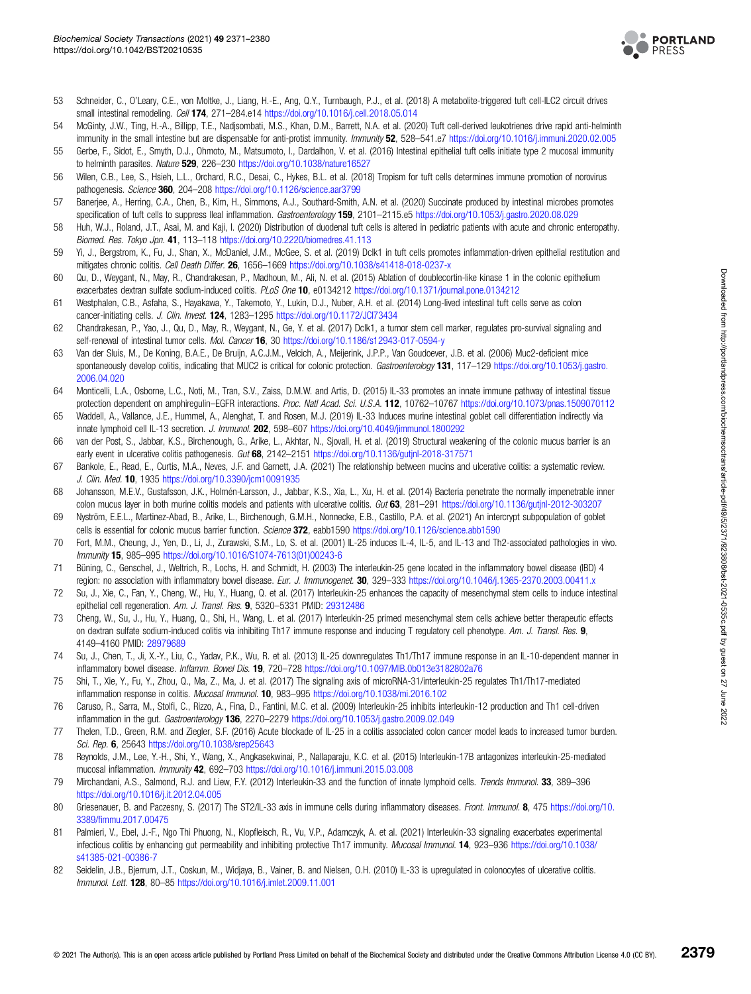

- <span id="page-8-0"></span>53 Schneider, C., O'Leary, C.E., von Moltke, J., Liang, H.-E., Ang, Q.Y., Turnbaugh, P.J., et al. (2018) A metabolite-triggered tuft cell-ILC2 circuit drives small intestinal remodeling. Cell 174, 271-284.e14 <https://doi.org/10.1016/j.cell.2018.05.014>
- 54 McGinty, J.W., Ting, H.-A., Billipp, T.E., Nadjsombati, M.S., Khan, D.M., Barrett, N.A. et al. (2020) Tuft cell-derived leukotrienes drive rapid anti-helminth immunity in the small intestine but are dispensable for anti-protist immunity. Immunity 52, 528-541.e7 <https://doi.org/10.1016/j.immuni.2020.02.005>
- 55 Gerbe, F., Sidot, E., Smyth, D.J., Ohmoto, M., Matsumoto, I., Dardalhon, V. et al. (2016) Intestinal epithelial tuft cells initiate type 2 mucosal immunity to helminth parasites. Nature 529, 226-230 <https://doi.org/10.1038/nature16527>
- 56 Wilen, C.B., Lee, S., Hsieh, L.L., Orchard, R.C., Desai, C., Hykes, B.L. et al. (2018) Tropism for tuft cells determines immune promotion of norovirus pathogenesis. Science 360, 204–208 <https://doi.org/10.1126/science.aar3799>
- 57 Banerjee, A., Herring, C.A., Chen, B., Kim, H., Simmons, A.J., Southard-Smith, A.N. et al. (2020) Succinate produced by intestinal microbes promotes specification of tuft cells to suppress Ileal inflammation. Gastroenterology 159, 2101-2115.e5 <https://doi.org/10.1053/j.gastro.2020.08.029>
- 58 Huh, W.J., Roland, J.T., Asai, M. and Kaji, I. (2020) Distribution of duodenal tuft cells is altered in pediatric patients with acute and chronic enteropathy. Biomed. Res. Tokyo Jpn. 41, 113–118 <https://doi.org/10.2220/biomedres.41.113>
- 59 Yi, J., Bergstrom, K., Fu, J., Shan, X., McDaniel, J.M., McGee, S. et al. (2019) Dclk1 in tuft cells promotes inflammation-driven epithelial restitution and mitigates chronic colitis. Cell Death Differ. 26, 1656–1669 <https://doi.org/10.1038/s41418-018-0237-x>
- 60 Qu, D., Weygant, N., May, R., Chandrakesan, P., Madhoun, M., Ali, N. et al. (2015) Ablation of doublecortin-like kinase 1 in the colonic epithelium exacerbates dextran sulfate sodium-induced colitis. PLoS One 10, e0134212 <https://doi.org/10.1371/journal.pone.0134212>
- 61 Westphalen, C.B., Asfaha, S., Hayakawa, Y., Takemoto, Y., Lukin, D.J., Nuber, A.H. et al. (2014) Long-lived intestinal tuft cells serve as colon cancer-initiating cells. J. Clin. Invest. 124, 1283-1295 https://doi.org/10.1172/JCl73434
- 62 Chandrakesan, P., Yao, J., Qu, D., May, R., Weygant, N., Ge, Y. et al. (2017) Dclk1, a tumor stem cell marker, regulates pro-survival signaling and self-renewal of intestinal tumor cells. Mol. Cancer 16, 30 <https://doi.org/10.1186/s12943-017-0594-y>
- 63 Van der Sluis, M., De Koning, B.A.E., De Bruijn, A.C.J.M., Velcich, A., Meijerink, J.P.P., Van Goudoever, J.B. et al. (2006) Muc2-deficient mice spontaneously develop colitis, indicating that MUC2 is critical for colonic protection. Gastroenterology 131, 117-129 [https://doi.org/10.1053/j.gastro.](https://doi.org/10.1053/j.gastro.2006.04.020) [2006.04.020](https://doi.org/10.1053/j.gastro.2006.04.020)
- 64 Monticelli, L.A., Osborne, L.C., Noti, M., Tran, S.V., Zaiss, D.M.W. and Artis, D. (2015) IL-33 promotes an innate immune pathway of intestinal tissue protection dependent on amphiregulin–EGFR interactions. Proc. Natl Acad. Sci. U.S.A. 112, 10762–10767 <https://doi.org/10.1073/pnas.1509070112>
- 65 Waddell, A., Vallance, J.E., Hummel, A., Alenghat, T. and Rosen, M.J. (2019) IL-33 Induces murine intestinal goblet cell differentiation indirectly via innate lymphoid cell IL-13 secretion. J. Immunol. 202, 598-607 <https://doi.org/10.4049/jimmunol.1800292>
- 66 van der Post, S., Jabbar, K.S., Birchenough, G., Arike, L., Akhtar, N., Sjovall, H. et al. (2019) Structural weakening of the colonic mucus barrier is an early event in ulcerative colitis pathogenesis. Gut 68, 2142-2151 <https://doi.org/10.1136/gutjnl-2018-317571>
- 67 Bankole, E., Read, E., Curtis, M.A., Neves, J.F. and Garnett, J.A. (2021) The relationship between mucins and ulcerative colitis: a systematic review. J. Clin. Med. 10, 1935 <https://doi.org/10.3390/jcm10091935>
- 68 Johansson, M.E.V., Gustafsson, J.K., Holmén-Larsson, J., Jabbar, K.S., Xia, L., Xu, H. et al. (2014) Bacteria penetrate the normally impenetrable inner colon mucus layer in both murine colitis models and patients with ulcerative colitis. Gut 63, 281-291 <https://doi.org/10.1136/gutjnl-2012-303207>
- 69 Nyström, E.E.L., Martinez-Abad, B., Arike, L., Birchenough, G.M.H., Nonnecke, E.B., Castillo, P.A. et al. (2021) An intercrypt subpopulation of goblet cells is essential for colonic mucus barrier function. Science 372, eabb1590 <https://doi.org/10.1126/science.abb1590>
- 70 Fort, M.M., Cheung, J., Yen, D., Li, J., Zurawski, S.M., Lo, S. et al. (2001) IL-25 induces IL-4, IL-5, and IL-13 and Th2-associated pathologies in vivo. Immunity 15, 985–995 [https://doi.org/10.1016/S1074-7613\(01\)00243-6](https://doi.org/10.1016/S1074-7613(01)00243-6)
- 71 Büning, C., Genschel, J., Weltrich, R., Lochs, H. and Schmidt, H. (2003) The interleukin-25 gene located in the inflammatory bowel disease (IBD) 4 region: no association with inflammatory bowel disease. Eur. J. Immunogenet. 30, 329-333 <https://doi.org/10.1046/j.1365-2370.2003.00411.x>
- 72 Su, J., Xie, C., Fan, Y., Cheng, W., Hu, Y., Huang, Q. et al. (2017) Interleukin-25 enhances the capacity of mesenchymal stem cells to induce intestinal epithelial cell regeneration. Am. J. Transl. Res. 9, 5320-5331 PMID: [29312486](http://www.ncbi.nlm.nih.gov/pubmed/29312486)
- 73 Cheng, W., Su, J., Hu, Y., Huang, Q., Shi, H., Wang, L. et al. (2017) Interleukin-25 primed mesenchymal stem cells achieve better therapeutic effects on dextran sulfate sodium-induced colitis via inhibiting Th17 immune response and inducing T regulatory cell phenotype. Am. J. Transl. Res. 9, 4149–4160 PMID: [28979689](http://www.ncbi.nlm.nih.gov/pubmed/28979689)
- 74 Su, J., Chen, T., Ji, X.-Y., Liu, C., Yadav, P.K., Wu, R. et al. (2013) IL-25 downregulates Th1/Th17 immune response in an IL-10-dependent manner in inflammatory bowel disease. Inflamm. Bowel Dis. 19, 720-728 <https://doi.org/10.1097/MIB.0b013e3182802a76>
- 75 Shi, T., Xie, Y., Fu, Y., Zhou, Q., Ma, Z., Ma, J. et al. (2017) The signaling axis of microRNA-31/interleukin-25 regulates Th1/Th17-mediated inflammation response in colitis. Mucosal Immunol. 10, 983-995 <https://doi.org/10.1038/mi.2016.102>
- 76 Caruso, R., Sarra, M., Stolfi, C., Rizzo, A., Fina, D., Fantini, M.C. et al. (2009) Interleukin-25 inhibits interleukin-12 production and Th1 cell-driven inflammation in the gut. Gastroenterology 136, 2270-2279 <https://doi.org/10.1053/j.gastro.2009.02.049>
- 77 Thelen, T.D., Green, R.M. and Ziegler, S.F. (2016) Acute blockade of IL-25 in a colitis associated colon cancer model leads to increased tumor burden. Sci. Rep. 6, 25643 <https://doi.org/10.1038/srep25643>
- 78 Reynolds, J.M., Lee, Y.-H., Shi, Y., Wang, X., Angkasekwinai, P., Nallaparaju, K.C. et al. (2015) Interleukin-17B antagonizes interleukin-25-mediated mucosal inflammation. Immunity 42, 692–703 <https://doi.org/10.1016/j.immuni.2015.03.008>
- 79 Mirchandani, A.S., Salmond, R.J. and Liew, F.Y. (2012) Interleukin-33 and the function of innate lymphoid cells. Trends Immunol. 33, 389-396 <https://doi.org/10.1016/j.it.2012.04.005>
- 80 Griesenauer, B. and Paczesny, S. (2017) The ST2/IL-33 axis in immune cells during inflammatory diseases. Front. Immunol. 8, 475 [https://doi.org/10.](https://doi.org/10.3389/fimmu.2017.00475) 3389/fi[mmu.2017.00475](https://doi.org/10.3389/fimmu.2017.00475)
- 81 Palmieri, V., Ebel, J.-F., Ngo Thi Phuong, N., Klopfleisch, R., Vu, V.P., Adamczyk, A. et al. (2021) Interleukin-33 signaling exacerbates experimental infectious colitis by enhancing qut permeability and inhibiting protective Th17 immunity. Mucosal Immunol. 14, 923–936 [https://doi.org/10.1038/](https://doi.org/10.1038/s41385-021-00386-7) [s41385-021-00386-7](https://doi.org/10.1038/s41385-021-00386-7)
- 82 Seidelin, J.B., Bjerrum, J.T., Coskun, M., Widjaya, B., Vainer, B. and Nielsen, O.H. (2010) IL-33 is upregulated in colonocytes of ulcerative colitis. Immunol. Lett. 128, 80–85 <https://doi.org/10.1016/j.imlet.2009.11.001>